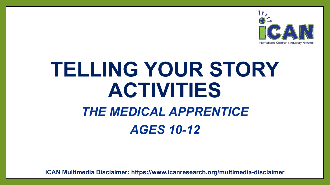

# **TELLING YOUR STORY ACTIVITIES**

# *THE MEDICAL APPRENTICE AGES 10-12*

**iCAN Multimedia Disclaimer: https://www.icanresearch.org/multimedia-disclaimer**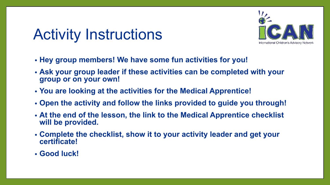## Activity Instructions



- **• Hey group members! We have some fun activities for you!**
- **• Ask your group leader if these activities can be completed with your group or on your own!**
- **• You are looking at the activities for the Medical Apprentice!**
- **• Open the activity and follow the links provided to guide you through!**
- **• At the end of the lesson, the link to the Medical Apprentice checklist will be provided.**
- **• Complete the checklist, show it to your activity leader and get your certificate!**
- **• Good luck!**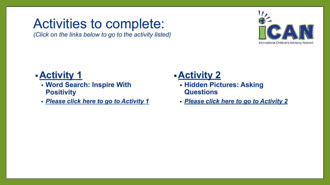## <span id="page-2-0"></span>Activities to complete:

*(Click on the links below to go to the activity listed)*



#### **•Activity 1**

- **• Word Search: Inspire With Positivity**
- *• [Please click here to go to Activity](#page-3-0) 1*

#### **•Activity 2**

- **• Hidden Pictures: Asking Questions**
- *• [Please click here to go to Activity](#page-4-0) 2*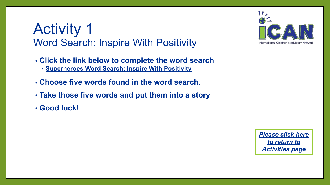### <span id="page-3-0"></span>Activity 1 Word Search: Inspire With Positivity

- **• Click the link below to complete the word search**
	- **• [Superheroes Word Search: Inspire With Positivity](https://www.icanresearch.org/_files/ugd/df726f_ee10d997aa014a68897e3420d3a5a6d7.pdf)**
- **• Choose five words found in the word search.**
- **• Take those five words and put them into a story**
- **• Good luck!**



*[Please click here](#page-2-0) [to return to](#page-2-0) [Activities page](#page-2-0)*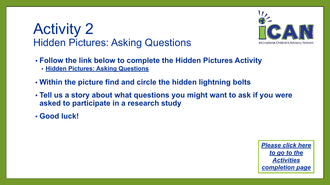### <span id="page-4-0"></span>Activity 2 Hidden Pictures: Asking Questions



- **• Follow the link below to complete the Hidden Pictures Activity**
	- **• [Hidden Pictures: Asking Questions](https://www.icanresearch.org/_files/ugd/df726f_42d2f34494c641deae899e34c30fa480.pdf)**
- **• Within the picture find and circle the hidden lightning bolts**
- **• Tell us a story about what questions you might want to ask if you were asked to participate in a research study**
- **• Good luck!**

*[Please click here](#page-5-0) [to go to the](#page-5-0) [Activities](#page-5-0) [completion page](#page-5-0)*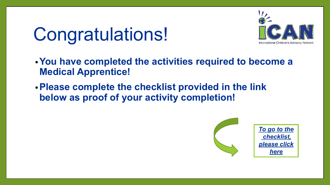# <span id="page-5-0"></span>Congratulations!



- **•You have completed the activities required to become a Medical Apprentice!**
- **•Please complete the checklist provided in the link below as proof of your activity completion!**